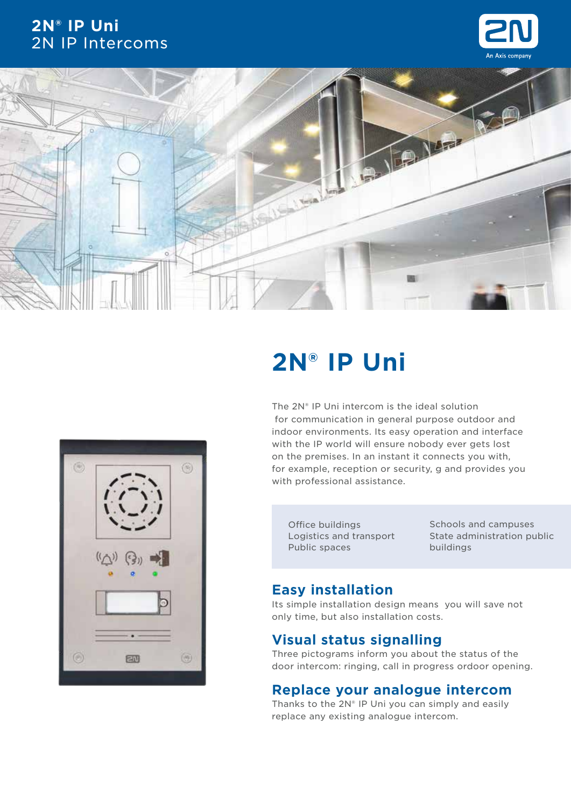## **2N® IP Uni** 2N IP Intercoms







## **2N® IP Uni**

The 2N® IP Uni intercom is the ideal solution for communication in general purpose outdoor and indoor environments. Its easy operation and interface with the IP world will ensure nobody ever gets lost on the premises. In an instant it connects you with, for example, reception or security, g and provides you with professional assistance.

Office buildings Logistics and transport Public spaces

Schools and campuses State administration public buildings

## **Easy installation**

Its simple installation design means you will save not only time, but also installation costs.

## **Visual status signalling**

Three pictograms inform you about the status of the door intercom: ringing, call in progress ordoor opening.

### **Replace your analogue intercom**

Thanks to the  $2N<sup>®</sup>$  IP Uni you can simply and easily replace any existing analogue intercom.